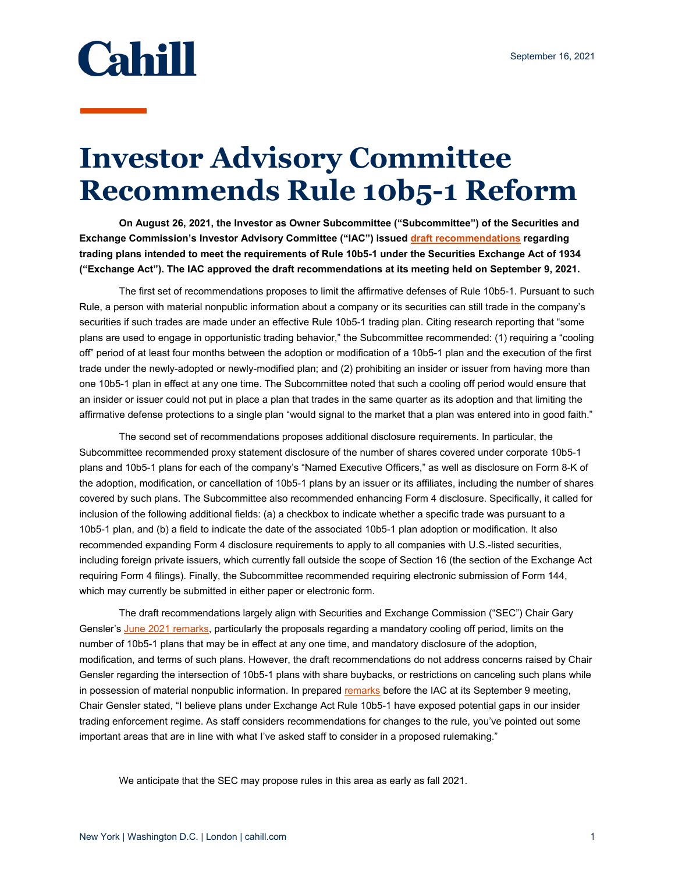

## **Investor Advisory Committee Recommends Rule 10b5-1 Reform**

**On August 26, 2021, the Investor as Owner Subcommittee ("Subcommittee") of the Securities and Exchange Commission's Investor Advisory Committee ("IAC") issued [draft recommendations](https://www.sec.gov/spotlight/investor-advisory-committee-2012/draft-recommendation-of-the-iao-subcommittee-on-10b5-1-plans-082621.pdf) regarding trading plans intended to meet the requirements of Rule 10b5-1 under the Securities Exchange Act of 1934 ("Exchange Act"). The IAC approved the draft recommendations at its meeting held on September 9, 2021.** 

The first set of recommendations proposes to limit the affirmative defenses of Rule 10b5-1. Pursuant to such Rule, a person with material nonpublic information about a company or its securities can still trade in the company's securities if such trades are made under an effective Rule 10b5-1 trading plan. Citing research reporting that "some plans are used to engage in opportunistic trading behavior," the Subcommittee recommended: (1) requiring a "cooling off" period of at least four months between the adoption or modification of a 10b5-1 plan and the execution of the first trade under the newly-adopted or newly-modified plan; and (2) prohibiting an insider or issuer from having more than one 10b5-1 plan in effect at any one time. The Subcommittee noted that such a cooling off period would ensure that an insider or issuer could not put in place a plan that trades in the same quarter as its adoption and that limiting the affirmative defense protections to a single plan "would signal to the market that a plan was entered into in good faith."

The second set of recommendations proposes additional disclosure requirements. In particular, the Subcommittee recommended proxy statement disclosure of the number of shares covered under corporate 10b5-1 plans and 10b5-1 plans for each of the company's "Named Executive Officers," as well as disclosure on Form 8-K of the adoption, modification, or cancellation of 10b5-1 plans by an issuer or its affiliates, including the number of shares covered by such plans. The Subcommittee also recommended enhancing Form 4 disclosure. Specifically, it called for inclusion of the following additional fields: (a) a checkbox to indicate whether a specific trade was pursuant to a 10b5-1 plan, and (b) a field to indicate the date of the associated 10b5-1 plan adoption or modification. It also recommended expanding Form 4 disclosure requirements to apply to all companies with U.S.-listed securities, including foreign private issuers, which currently fall outside the scope of Section 16 (the section of the Exchange Act requiring Form 4 filings). Finally, the Subcommittee recommended requiring electronic submission of Form 144, which may currently be submitted in either paper or electronic form.

The draft recommendations largely align with Securities and Exchange Commission ("SEC") Chair Gary Gensler's [June 2021 remarks,](https://www.sec.gov/news/speech/gensler-cfo-network-2021-06-07) particularly the proposals regarding a mandatory cooling off period, limits on the number of 10b5-1 plans that may be in effect at any one time, and mandatory disclosure of the adoption, modification, and terms of such plans. However, the draft recommendations do not address concerns raised by Chair Gensler regarding the intersection of 10b5-1 plans with share buybacks, or restrictions on canceling such plans while in possession of material nonpublic information. In prepared [remarks](https://www.sec.gov/news/public-statement/gensler-iac-2021-09-09?utm_medium=email&utm_source=govdelivery) before the IAC at its September 9 meeting, Chair Gensler stated, "I believe plans under Exchange Act Rule 10b5-1 have exposed potential gaps in our insider trading enforcement regime. As staff considers recommendations for changes to the rule, you've pointed out some important areas that are in line with what I've asked staff to consider in a proposed rulemaking."

We anticipate that the SEC may propose rules in this area as early as fall 2021.